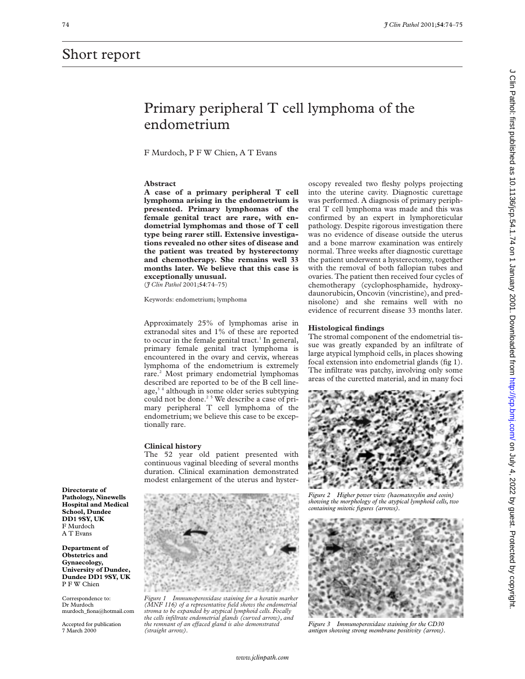## Short report

# Primary peripheral T cell lymphoma of the endometrium

F Murdoch, P F W Chien, A T Evans

#### **Abstract**

**A case of a primary peripheral T cell lymphoma arising in the endometrium is presented. Primary lymphomas of the female genital tract are rare, with endometrial lymphomas and those of T cell type being rarer still. Extensive investigations revealed no other sites of disease and the patient was treated by hysterectomy and chemotherapy. She remains well 33 months later. We believe that this case is exceptionally unusual.** (*J Clin Pathol* 2001;**54**:74–75)

Keywords: endometrium; lymphoma

Approximately 25% of lymphomas arise in extranodal sites and 1% of these are reported to occur in the female genital tract. $<sup>1</sup>$  In general,</sup> primary female genital tract lymphoma is encountered in the ovary and cervix, whereas lymphoma of the endometrium is extremely rare.<sup>2</sup> Most primary endometrial lymphomas described are reported to be of the B cell lineage, $3<sup>4</sup>$  although in some older series subtyping could not be done.<sup>25</sup> We describe a case of primary peripheral T cell lymphoma of the endometrium; we believe this case to be exceptionally rare.

#### **Clinical history**

The 52 year old patient presented with continuous vaginal bleeding of several months duration. Clinical examination demonstrated modest enlargement of the uterus and hyster-



*Figure 1 Immunoperoxidase staining for a keratin marker (MNF 116) of a representative field shows the endometrial stroma to be expanded by atypical lymphoid cells. Focally the cells infiltrate endometrial glands (curved arrow), and the remnant of an effaced gland is also demonstrated (straight arrow).*

oscopy revealed two fleshy polyps projecting into the uterine cavity. Diagnostic curettage was performed. A diagnosis of primary peripheral T cell lymphoma was made and this was confirmed by an expert in lymphoreticular pathology. Despite rigorous investigation there was no evidence of disease outside the uterus and a bone marrow examination was entirely normal. Three weeks after diagnostic curettage the patient underwent a hysterectomy, together with the removal of both fallopian tubes and ovaries. The patient then received four cycles of chemotherapy (cyclophosphamide, hydroxydaunorubicin, Oncovin (vincristine), and prednisolone) and she remains well with no evidence of recurrent disease 33 months later.

#### **Histological findings**

The stromal component of the endometrial tissue was greatly expanded by an infiltrate of large atypical lymphoid cells, in places showing focal extension into endometrial glands (fig 1). The infiltrate was patchy, involving only some areas of the curetted material, and in many foci



*Figure 2 Higher power view (haematoxylin and eosin) showing the morphology of the atypical lymphoid cells, two containing mitotic figures (arrows).*



*Figure 3 Immunoperoxidase staining for the CD30 antigen showing strong membrane positivity (arrow).*

**Department of Obstetrics and Gynaecology, University of Dundee, Dundee DD1 9SY, UK**

Correspondence to: Dr Murdoch murdoch\_fiona@hotmail.com

Accepted for publication 7 March 2000

P F W Chien

**Directorate of Pathology, Ninewells Hospital and Medical School, Dundee DD1 9SY, UK** F Murdoch A T Evans